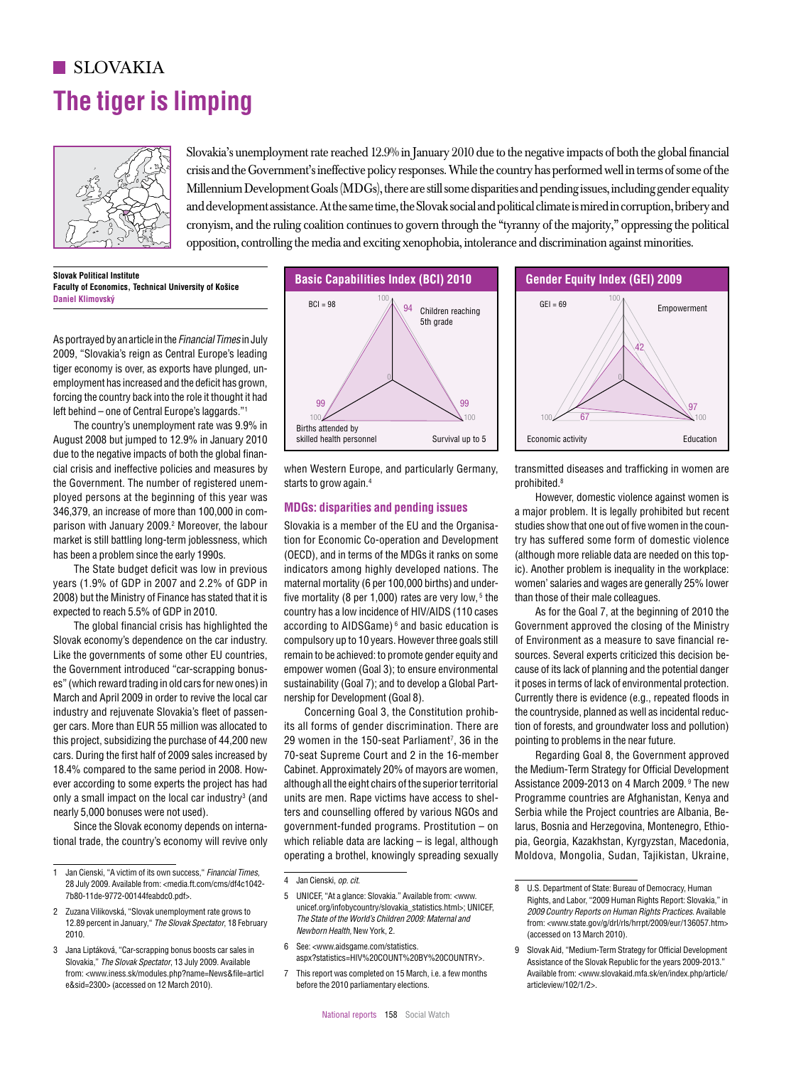# **The tiger is limping** SLOVAKIA



 $\approx$  Slovakia's unemployment rate reached 12.9% in January 2010 due to the negative impacts of both the global financial crisis and the Government's ineffective policy responses. While the country has performed well in terms of some of the 100 100 100 100 100 100 Millennium Development Goals (MDGs), there are still some disparities and pending issues, including gender equality and development assistance. At the same time, the Slovak social and political climate is mired in corruption, bribery and cronyism, and the ruling coalition continues to govern through the "tyranny of the majority," oppressing the political opposition, controlling the media and exciting xenophobia, intolerance and discrimination against minorities. and a continue and the militar scalition continues to recover theoretic the month is a conservative than original  $\{\}$   $\}$   $\}$  Slovakia's unemployment rate

**Slovak Political Institute Faculty of Economics, Technical University of Košice Daniel Klimovský**

As portrayed by an article in the *Financial Times* in July 2009, "Slovakia's reign as Central Europe's leading 42 tiger economy is over, as exports have plunged, unemployment has increased and the deficit has grown, forcing the country back into the role it thought it had left behind – one of Central Europe's laggards."1 100 100

The country's unemployment rate was 9.9% in August 2008 but jumped to 12.9% in January 2010 due to the negative impacts of both the global financial crisis and ineffective policies and measures by the Government. The number of registered unemployed persons at the beginning of this year was 346,379, an increase of more than 100,000 in comparison with January 2009.<sup>2</sup> Moreover, the labour market is still battling long-term joblessness, which has been a problem since the early 1990s. due to the negative impacts of both the global finali-<br>cial crisis and ineffective nolicies and measures by a when Western Eurone, and narticularly Germany transmitted diseases and trafficking in women are

> The State budget deficit was low in previous years (1.9% of GDP in 2007 and 2.2% of GDP in 2008) but the Ministry of Finance has stated that it is expected to reach 5.5% of GDP in 2010.

The global financial crisis has highlighted the Slovak economy's dependence on the car industry. Like the governments of some other EU countries, the Government introduced "car-scrapping bonuses" (which reward trading in old cars for new ones) in March and April 2009 in order to revive the local car industry and rejuvenate Slovakia's fleet of passenger cars. More than EUR 55 million was allocated to this project, subsidizing the purchase of 44,200 new cars. During the first half of 2009 sales increased by 18.4% compared to the same period in 2008. However according to some experts the project has had only a small impact on the local car industry<sup>3</sup> (and nearly 5,000 bonuses were not used). empower women (doal 3), to ensure environmental cause of its tack of planning and the potential tanger<br>
excluding and the process of the same for the local car<br>
March ad April 2009 in order to revive the local car<br>
industr

> Since the Slovak economy depends on international trade, the country's economy will revive only



when Western Europe, and particularly Germany, starts to grow again.4

### **MDGs: disparities and pending issues**

Slovakia is a member of the EU and the Organisation for Economic Co-operation and Development (OECD), and in terms of the MDGs it ranks on some indicators among highly developed nations. The maternal mortality (6 per 100,000 births) and underfive mortality (8 per 1,000) rates are very low,  $5$  the country has a low incidence of HIV/AIDS (110 cases according to AIDSGame) 6 and basic education is compulsory up to 10 years. However three goals still remain to be achieved: to promote gender equity and empower women (Goal 3); to ensure environmental sustainability (Goal 7); and to develop a Global Partnership for Development (Goal 8).

Concerning Goal 3, the Constitution prohibits all forms of gender discrimination. There are 29 women in the 150-seat Parliament<sup>7</sup>, 36 in the 70-seat Supreme Court and 2 in the 16-member Cabinet. Approximately 20% of mayors are women, although all the eight chairs of the superior territorial units are men. Rape victims have access to shelters and counselling offered by various NGOs and government-funded programs. Prostitution – on which reliable data are lacking – is legal, although operating a brothel, knowingly spreading sexually

<sup>6</sup> See: <www.aidsgame.com/statistics. aspx?statistics=HIV%20COUNT%20BY%20COUNTRY>.





transmitted diseases and trafficking in women are prohibited.8

However, domestic violence against women is a major problem. It is legally prohibited but recent studies show that one out of five women in the country has suffered some form of domestic violence (although more reliable data are needed on this topic). Another problem is inequality in the workplace: women' salaries and wages are generally 25% lower than those of their male colleagues.

As for the Goal 7, at the beginning of 2010 the Government approved the closing of the Ministry of Environment as a measure to save financial resources. Several experts criticized this decision because of its lack of planning and the potential danger it poses in terms of lack of environmental protection. Currently there is evidence (e.g., repeated floods in the countryside, planned as well as incidental reduction of forests, and groundwater loss and pollution) pointing to problems in the near future.

Regarding Goal 8, the Government approved the Medium-Term Strategy for Official Development Assistance 2009-2013 on 4 March 2009. 9 The new Programme countries are Afghanistan, Kenya and Serbia while the Project countries are Albania, Belarus, Bosnia and Herzegovina, Montenegro, Ethiopia, Georgia, Kazakhstan, Kyrgyzstan, Macedonia, Moldova, Mongolia, Sudan, Tajikistan, Ukraine,

<sup>1</sup> Jan Cienski, "A victim of its own success," *Financial Times,* 28 July 2009. Available from: <media.ft.com/cms/df4c1042- 7b80-11de-9772-00144feabdc0.pdf>.

<sup>2</sup> Zuzana Vilikovská, "Slovak unemployment rate grows to 12.89 percent in January," *The Slovak Spectator*, 18 February 2010.

<sup>3</sup> Jana Liptáková, "Car-scrapping bonus boosts car sales in Slovakia," *The Slovak Spectator*, 13 July 2009. Available from: <www.iness.sk/modules.php?name=News&file=articl e&sid=2300> (accessed on 12 March 2010).

<sup>4</sup> Jan Cienski, *op. cit*.

<sup>5</sup> UNICEF, "At a glance: Slovakia." Available from: <www. unicef.org/infobycountry/slovakia\_statistics.html>: UNICEF, *The State of the World's Children 2009: Maternal and Newborn Health,* New York, 2.

<sup>8</sup> U.S. Department of State: Bureau of Democracy, Human Rights, and Labor, "2009 Human Rights Report: Slovakia," in *2009 Country Reports on Human Rights Practices*. Available from: <www.state.gov/g/drl/rls/hrrpt/2009/eur/136057.htm> (accessed on 13 March 2010).

<sup>9</sup> Slovak Aid, "Medium-Term Strategy for Official Development Assistance of the Slovak Republic for the years 2009-2013." Available from: <www.slovakaid.mfa.sk/en/index.php/article/ articleview/102/1/2>.